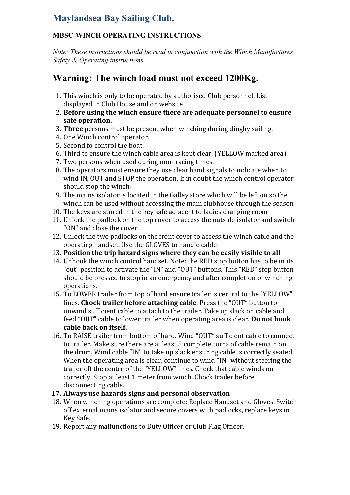## **Maylandsea Bay Sailing Club.**

#### **MBSC-WINCH OPERATING INSTRUCTIONS**.

*Note: These instructions should be read in conjunction with the Winch Manufactures Safety & Operating instructions*.

### **Warning: The winch load must not exceed 1200Kg.**

- 1. This winch is only to be operated by authorised Club personnel. List displayed in Club House and on website
- 2. **Before using the winch ensure there are adequate personnel to ensure safe operation.**
- 3. **Three** persons must be present when winching during dinghy sailing.
- 4. One Winch control operator.
- 5. Second to control the boat.
- 6. Third to ensure the winch cable area is kept clear. (YELLOW marked area)
- 7. Two persons when used during non- racing times.
- 8. The operators must ensure they use clear hand signals to indicate when to wind IN, OUT and STOP the operation. If in doubt the winch control operator should stop the winch.
- 9. The mains isolator is located in the Galley store which will be left on so the winch can be used without accessing the main clubhouse through the season
- 10. The keys are stored in the key safe adjacent to ladies changing room
- 11. Unlock the padlock on the top cover to access the outside isolator and switch "ON" and close the cover.
- 12. Unlock the two padlocks on the front cover to access the winch cable and the operating handset. Use the GLOVES to handle cable
- 13. **Position the trip hazard signs where they can be easily visible to all**
- 14. Unhook the winch control handset. Note: the RED stop button has to be in its "out" position to activate the "IN" and "OUT" buttons. This "RED" stop button should be pressed to stop in an emergency and after completion of winching operations.
- 15. To LOWER trailer from top of hard ensure trailer is central to the "YELLOW" lines. **Chock trailer before attaching cable**. Press the "OUT" button to unwind sufficient cable to attach to the trailer. Take up slack on cable and feed "OUT" cable to lower trailer when operating area is clear. **Do not hook cable back on itself.**
- 16. To RAISE trailer from bottom of hard. Wind "OUT" sufficient cable to connect to trailer. Make sure there are at least 5 complete turns of cable remain on the drum. Wind cable "IN" to take up slack ensuring cable is correctly seated. When the operating area is clear, continue to wind "IN" without steering the trailer off the centre of the "YELLOW" lines. Check that cable winds on correctly. Stop at least 1 meter from winch. Chock trailer before disconnecting cable.
- **17. Always use hazards signs and personal observation**
- 18. When winching operations are complete: Replace Handset and Gloves. Switch off external mains isolator and secure covers with padlocks, replace keys in Key Safe.
- 19. Report any malfunctions to Duty Officer or Club Flag Officer.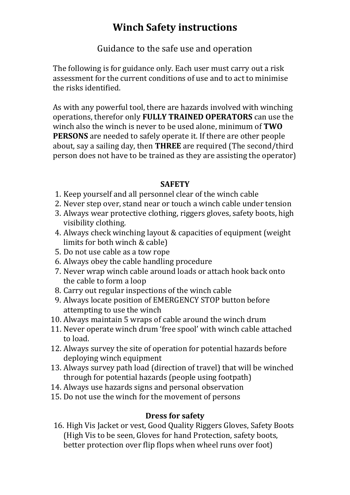## **Winch Safety instructions**

Guidance to the safe use and operation

The following is for guidance only. Each user must carry out a risk assessment for the current conditions of use and to act to minimise the risks identified.

As with any powerful tool, there are hazards involved with winching operations, therefor only **FULLY TRAINED OPERATORS** can use the winch also the winch is never to be used alone, minimum of **TWO PERSONS** are needed to safely operate it. If there are other people about, say a sailing day, then **THREE** are required (The second/third person does not have to be trained as they are assisting the operator)

#### **SAFETY**

- 1. Keep yourself and all personnel clear of the winch cable
- 2. Never step over, stand near or touch a winch cable under tension
- 3. Always wear protective clothing, riggers gloves, safety boots, high visibility clothing.
- 4. Always check winching layout & capacities of equipment (weight limits for both winch & cable)
- 5. Do not use cable as a tow rope
- 6. Always obey the cable handling procedure
- 7. Never wrap winch cable around loads or attach hook back onto the cable to form a loop
- 8. Carry out regular inspections of the winch cable
- 9. Always locate position of EMERGENCY STOP button before attempting to use the winch
- 10. Always maintain 5 wraps of cable around the winch drum
- 11. Never operate winch drum 'free spool' with winch cable attached to load.
- 12. Always survey the site of operation for potential hazards before deploying winch equipment
- 13. Always survey path load (direction of travel) that will be winched through for potential hazards (people using footpath)
- 14. Always use hazards signs and personal observation
- 15. Do not use the winch for the movement of persons

#### **Dress for safety**

16. High Vis Jacket or vest, Good Quality Riggers Gloves, Safety Boots (High Vis to be seen, Gloves for hand Protection, safety boots, better protection over flip flops when wheel runs over foot)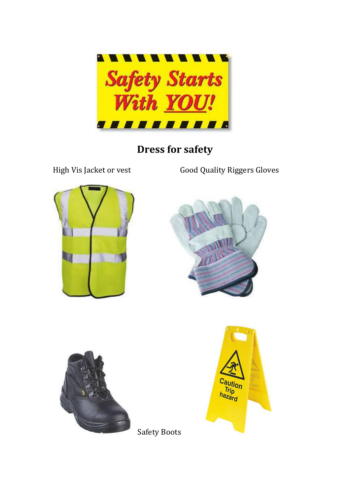

# **Dress for safety**

High Vis Jacket or vest Good Quality Riggers Gloves









Safety Boots